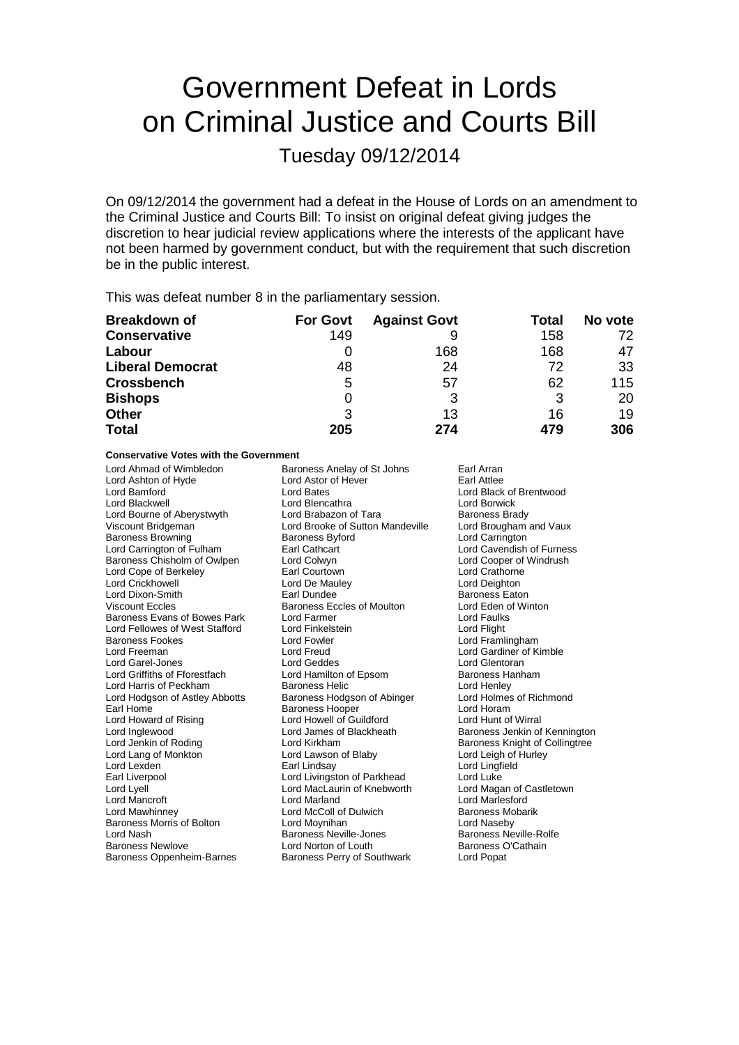# Government Defeat in Lords on Criminal Justice and Courts Bill

Tuesday 09/12/2014

On 09/12/2014 the government had a defeat in the House of Lords on an amendment to the Criminal Justice and Courts Bill: To insist on original defeat giving judges the discretion to hear judicial review applications where the interests of the applicant have not been harmed by government conduct, but with the requirement that such discretion be in the public interest.

This was defeat number 8 in the parliamentary session.

| <b>Breakdown of</b>     | <b>For Govt</b> | <b>Against Govt</b> | Total | No vote |
|-------------------------|-----------------|---------------------|-------|---------|
| <b>Conservative</b>     | 149             |                     | 158   | 72      |
| Labour                  |                 | 168                 | 168   | 47      |
| <b>Liberal Democrat</b> | 48              | 24                  | 72    | 33      |
| <b>Crossbench</b>       | 5               | 57                  | 62    | 115     |
| <b>Bishops</b>          |                 | 3                   | 3     | 20      |
| <b>Other</b>            | 3               | 13                  | 16    | 19      |
| <b>Total</b>            | 205             | 274                 | 479   | 306     |

### **Conservative Votes with the Government<br>Lord Ahmad of Wimbledon Bare**

Lord Ashton of Hyde Lord Astor Cord Astor Cord Battle<br>
Lord Bamford Cord Battle Lord Blackwell **Lord Blencathra** Lord Borwick<br>
Lord Bourne of Aberystwyth Lord Brabazon of Tara **Communists** Baroness Brady Lord Bourne of Aberystwyth Lord Brabazon of Tara Baroness Brady<br>
Viscount Bridgeman **Brand Brack Brady Brooke of Sutton Mandeville** Lord Brougham and Vaux Baroness Browning Baroness Byford Lord Carrington Lord Carrington Earl Cathcart Lord Cavendish of Furness Lord Carrington of Fulham **Earl Cathcart** Earl Cathcart Lord Cavendish of Furnes<br>
Baroness Chisholm of Owlpen Lord Colwyn Lord Cologer of Windrush Baroness Chisholm of Owlpen Lord Colwyn Lord Cooper of Lord Cooper of Lord Cooper of Lord Cooper of Lord Countome<br>
Lord Cope of Berkeley Courtown Earl Courtown Lord Cope of Berkeley **Earl Courtown**<br>
Lord Crickhowell<br>
Lord Crickhowell **Early Lord Communist Contract Crickhowell** Lord Crickhowell **Lord De Mauley** Cord De Mauley **Lord Deighton**<br>
Lord Dixon-Smith **Lord Lord Lord De Lord De Lord De Lord De Lord De Lord De Lord De Lord De Lord De Lord De Lo**<br>
Earl Dundee **Carl Dundee** Baroness Eaton Lord Dixon-Smith **Earl Dundee** Earl Dundee **Baroness Eaton**<br>
Viscount Eccles **Baroness Eccles of Moulton** Lord Eden of Winton Baroness Evans of Bowes Park Lord Farmer Constantine Cord Faulks<br>
Lord Fellowes of West Stafford Lord Finkelstein Cord Fight Lord Fellowes of West Stafford Lord Finkelstein<br>Baroness Fookes Lord Fowler Baroness Fookes Lord Fowler Lord Framlingham Lord Garel-Jones Lord Griffiths of Fforestfach Lord Hamilton of Epsom Baroness Hanham<br>
Lord Harris of Peckham Baroness Helic Lord Henley Lord Harris of Peckham **Baroness Helic** Lord Henley<br>
Lord Hodgson of Astley Abbotts Baroness Hodgson of Abinger Lord Holmes of Richmond Lord Hodgson of Astley Abbotts Earl Home **Baroness Hooper Lord Horam Baroness Hooper Lord Horam** Lord Howard of Rising The Lord Howell of Guildford The Lord Hunt of Wirral<br>
Lord Inglewood Lord James of Blackheath The Baroness Jenkin of Lord Inglewood **Lord James of Blackheath** Baroness Jenkin of Kennington<br>
Lord Jenkin of Roding<br>
Lord Kirkham **Baroness Knight of Collingtree** Lord Lang of Monkton **Lord Lawson of Blaby** Lord Lord Leigh of Hurley<br>
Lord Lexden **Lord Lord Lord Lingfield** Cord Lingfield Lord Lexden **Earl Lindsay** Earl Lindsay **Lord Lingfield**<br>
Earl Liverpool **Earl Lingfield**<br>
Lord Livingston of Parkhead **Lord Luke** Earl Liverpool **Earl Lord Livingston of Parkhead** Lord Luke<br>
Lord Lyell **Lord Lord Lord MacLaurin of Knebworth** Lord Magan of Castletown Lord Mancroft Lord Marland Lord Marlesford Baroness Morris of Bolton Lord Moynihan Lord Naseby Lord Nash Baroness Neville-Jones

Baroness Anelay of St Johns Earl Arran<br>
Lord Astor of Hever Earl Attlee Lord Bates **Lord Black of Brentwood**<br>
Lord Blencathra 
Lord Borwick Lord Brooke of Sutton Mandeville Lord Brougham<br>Baroness Byford Lord Carrington Viscount Eccles of Moulton Lord Eden of Lord Faults<br>
Lord Farmer Corp. Lord Faults Lord Freud **Lord Gardiner of Kimble**<br>
Lord Geddes<br>
Lord Glentoran Lord MacLaurin of Knebworth Lord McColl of Dulwich<br>
Lord Moynihan<br>
Lord Naseby Baroness Newlove **Lord Norton of Louth** Baroness O'Cathain<br>Baroness Oppenheim-Barnes Baroness Perry of Southwark Lord Popat Baroness Perry of Southwark

Baroness Knight of Collingtree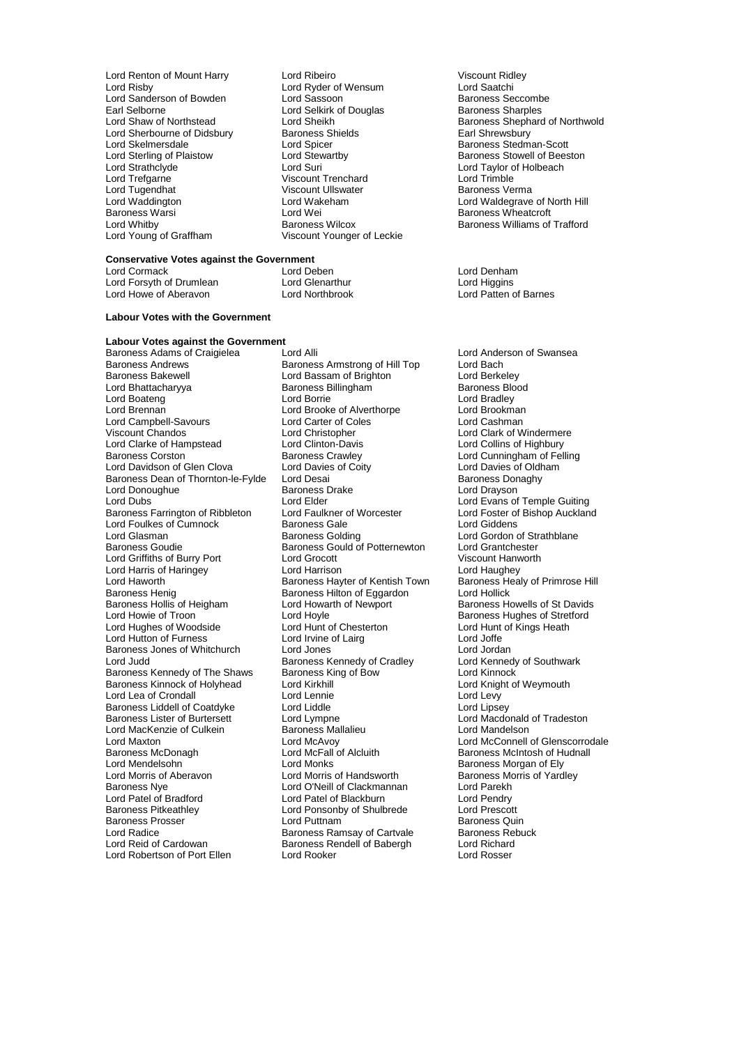- Lord Sanderson of Bowden Lord Sassoon Baroness Seccomber 1 Lord Sassoon Baroness Seccomber 1 April 2017<br>Earl Selborne Baroness Sharples Earl Selborne Lord Selkirk of Douglas<br>
Lord Shaw of Northstead
Lord Sheikh Lord Sherbourne of Didsbury Baroness S<br>
Lord Skelmersdale **Baroness**<br>
Lord Spicer Lord Skelmersdale Lord Spicer Cord Skelmersdale Lord Stewarthy Cord Steven and Stewarthy Baroness Stedman-Scott<br>
Lord Stewarthy Baroness Stowell of Bees Lord Sterling of Plaistow **Lord Stewartby Baroness Stowell of Beeston**<br>
Lord Strathclyde **Baroness Stowell of Beeston**<br>
Lord Strathclyde **Baroness Stowell of Beeston** Lord Strathclyde Lord Suri Lord Taylor of Holbeach Lord Tugendhat Viscount Ullswater American Viscount Ullswater Baroness Viscount Ullswater Baroness V<br>
Baroness Vermann Lord Wakeham Lord Waddington Lord Wakeham Lord Waldegrave of North Hill Baroness Warsi Lord Wei Baroness Wheatcroft Lord Whitby **Baroness Wilcox** Baroness Wilcox **Baroness Williams of Trafford**<br>
Lord Young of Graffham **Micropolit Constant Younger** of Leckie
- Lord Renton of Mount Harry Lord Ribeiro Cord Ribeiro Viscount Ridley<br>
Lord Risby Cord Ryder of Wensum Lord Saatchi Lord Ryder of Wensum Lord Saatchi<br>
Lord Sassoon Lord Baroness Seccombe Viscount Trenchard<br>
Viscount Ullswater<br>
Viscount Ullswater<br>
Viscount Ullswater Viscount Younger of Leckie

### **Conservative Votes against the Government**<br>Lord Cormack Lord Ceben

Lord Forsyth of Drumlean Lord Glenarthur Cord Higgins<br>
Lord Howe of Aberavon Lord North Hord Northbrook Lord Patten of Barnes Lord Howe of Aberavon

#### **Labour Votes with the Government**

**Labour Votes against the Government** Baroness Adams of Craigielea Lord Alli Lord Anderson of Swansea<br>Baroness Andrews Baroness Armstrong of Hill Top Lord Bach Baroness Andrews **Baroness Armstrong of Hill Top** Lord Bach<br>Baroness Bakewell **Bach Lord Bassam of Brighton** Lord Berkelev Baroness Bakewell Lord Bassam of Brighton Lord Berkeley Lord Boateng Lord Borrie Cord Borrie Lord Bradley<br>
Lord Brennan Lord Brooke of Alverthorne Lord Brookman Lord Campbell-Savours<br>
Viscount Chandos<br>
Lord Christopher Lord Clarke of Hampstead Lord Clinton-Davis<br>Baroness Corston Baroness Crawley Lord Davidson of Glen Clova Lord Davies of Coity Lord Davies of Oldhames Donaghy<br>Baroness Dean of Thornton-le-Fylde Lord Desai Corporaghy Baroness Dean of Thornton-le-Fylde Lord Desai **Baroness Dean and Baroness Don**<br>Lord Donoughue Baroness Drake Baroness Drake Lord Drayson Lord Donoughue<br>
Lord Dubs<br>
Lord Elder Baroness Farrington of Ribbleton Lord Faulkner of Worcester Lord Foster of<br>
Lord Foulkes of Cumnock Baroness Gale Cord Aucklands Auckland Lord Foulkes of Cumnock Baroness Gale<br>
Lord Glasman Baroness Golding Lord Glasman **Baroness Golding** Cord Gordon of Strathblane<br>Baroness Goudie **Baroness Gould of Potternewton** Lord Grantchester Lord Griffiths of Burry Port Lord Grocott<br>
Lord Harris of Haringev<br>
Lord Haughey Lord Harrison<br>
Lord Haughey Lord Harris of Haringey **Lord Harrison** Lord Haughey Lord Haughey<br>
Lord Haworth **Condition** Baroness Hayter of Kentish Town Baroness Healy of Primrose Hill Lord Haworth **Baroness Hayter of Kentish Town** Baroness Health Baroness Health Baroness Health Baroness Hilton of Equardon Baroness Henig<br>Baroness Hollis of Heigham Lord Howarth of Newport Baroness Hollis of Heigham Lord Howarth of Newport Baroness Howells of St Davids<br>
Lord Howie of Troon Lord Hoyle Cord Hovels and Baroness Hughes of Stretford Lord Hughes of Woodside Lord Hunt of Chesterton Lord Hunt<br>
Lord Hutton of Furness Lord Irvine of Lairg Lord Joffe Lord Hutton of Furness Lord Irvine of Lairg Lord Joffe Baroness Jones of Whitchurch Lord Jones<br>Lord Judd Lord Judd Lord Jones Lord Jordan<br>Lord Judd Lord Kennedy of Southwark Baroness Kennedy of The Shaws Baroness King of Bow Lord Kinnock<br>Baroness Kinnock of Holyhead Lord Kirkhill Cord Knight of Weymouth Baroness Kinnock of Holyhead Lord Kirkhill<br>Lord Lea of Crondall Lord Lennie Lord Lea of Crondall **Lord Lennie** Lord Lennie Lord Levy<br>
Baroness Liddell of Coatdyke Lord Liddle Lord Linsey Baroness Liddell of Coatdyke Lord Liddle<br>Baroness Lister of Burtersett Lord Lympne Lord MacKenzie of Culkein Baroness Mal<br>Lord Maxton Lord McAvoy Lord Maxton Lord McAvoy Lord McAvoy Lord McConnell of Glenscorrodale<br>
Baroness McDonagh Cord McFall of Alcluith Baroness McIntosh of Hudnall Baroness McDonagh **Lord McFall of Alcluith** Baroness McIntosh of Hudnall Lord McFall of Alcluith Baroness McIntosh of Hudnall Lord McIntosh of Elv Lord Mendelsohn Lord Monks<br>
Lord Morris of Aberavon Lord Morris of Handsworth Baroness Morris of Yard<br>
Lord Morris of Handsworth Baroness Morris of Yard Lord Morris of Aberavon Lord Morris of Handsworth Baroness Morris of Yardley<br>
Baroness Nye Clord O'Neill of Clackmannan Lord Parekh Baroness Nye Lord O'Neill of Clackmannan Lord Parekh Lord Patel of Bradford Lord Patel of Blackburn Lord Pendry Baroness Prosser **Exercise Server Lord Puttnam**<br>Lord Radice **Baroness Aunt Baroness Aunt Baroness Activities**<br>Baroness Rebuck Baroness Ramsay of Cartvale Baroness Rebuck Lord Radice **Baroness Ramsay of Cartvale** Baroness Relation Baroness Relations Republished Baroness Republished B<br>Baroness Rendell of Babergham Baroness Rendell of Babergham Baroness Relations Rendell of Babergham Baroness Lord Robertson of Port Ellen

Express Billingham Baroness Billingham Baroness Blood Bradley<br>
Lord Bradley Lord Brooke of Alverthorpe Lord Brookman<br>
Lord Carter of Coles
Lord Cashman Lord Christopher Lord Clark of Windermere<br>
Lord Clinton-Davis Lord Collins of Highbury Baroness Corston Baroness Crawley Lord Cunningham of Felling Lord Elder<br>
Lord Eaulkner of Worcester<br>
Lord Foster of Bishop Auckland Baroness Gould of Potternewton Lord Grantchester<br>
Lord Grocott Cord Creation Criscount Hanworth Lord Hoyle<br>
Lord Hunt of Chesterton<br>
Lord Hunt of Kings Heath Baroness Kennedy of Cradley **Lord Kennedy Baroness King of Bow** Lord Kinnock Lord Lympne<br>Baroness Mallalieu **Communist Lord Mandelson**<br>Lord Mandelson Lord Ponsonby of Shulbrede Lord Prescott<br>
Lord Puttnam Corp Baroness Quin Baroness Rendell of Babergh Lord Richard<br>Lord Rooker Lord Rosser

Lord Sheikh Delegate Baroness Shephard of Northwold<br>Baroness Sheikh Baroness Shephard of Northwold<br>Earl Shrewsbury

Lord Deben **Lord Denham**<br>
Lord Glenarthur **Lord Higgins**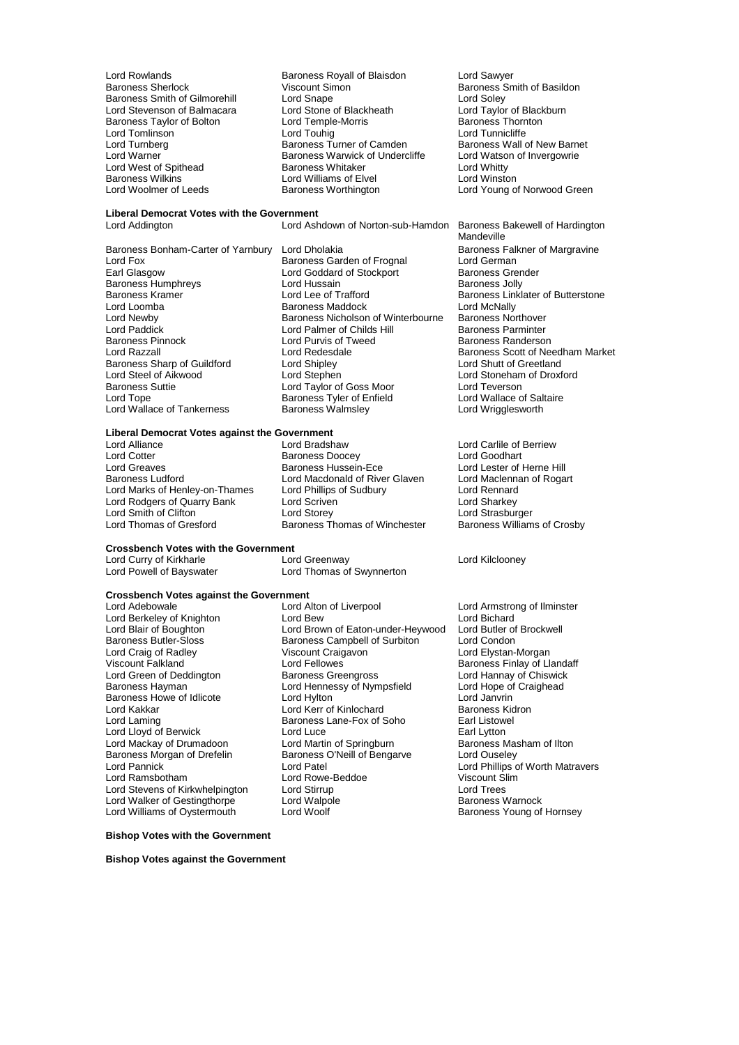Baroness Smith of Gilmorehill Lord Snape<br>
Lord Stevenson of Balmacara Lord Stone of Blackheath Baroness Taylor of Bolton Lord Temple<br>
Lord Tomlinson Lord Touhig Baroness Wilkins<br>
Lord Woolmer of Leeds<br>
Baroness Worthington

Lord Rowlands **Baroness Royall of Blaisdon** Lord Sawyer<br>
Baroness Sherlock **Baroness Smert Communist Communist Communist Communist Communist Communist Communist Communist** Viscount Simon<br>
Lord Snape<br>
Lord Solev Lord Snape<br>
Lord Soley<br>
Lord Stone of Blackheath Lord Taylor of Blackburn<br>
Lord Temple-Morris Baroness Thornton Lord Tomlinson **Lord Touhig** Lord Touhig Lord Tunnicliffe<br>
Lord Turnberg **Lord Touhig Lord Touhig Lord Turnicliffe**<br>
Lord Turnberg **Communication**<br>
Lord Turnberg Communication Camerof Cameron Cameron Baroness Wall of New B Lord Turnberg **Baroness Turner of Camden** Baroness Wall of New Barnet Camden Baroness Wall of New Barnet Camden Lord Warson of Invergowrie Baroness Warwick of Undercliffe Lord Watso<br>Baroness Whitaker Lord Whitty Lord West of Spithead **Baroness Whitaker** More to be to be to be to be to be to be to be to be to be Baroness Williams of Elvel and Multiams of Elvel and Multiams of Elvel and Multiams of Elvel and Multiams of Elvel and Mu

**Liberal Democrat Votes with the Government**

Baroness Bonham-Carter of Yarnbury Lord Dholakia baroness Falkner Baroness Fall<br>Lord Fox Baroness Garden of Frognal Lord German Lord Fox **Baroness Garden of Frognal** Lord German<br>
Earl Glasgow **Baroness Creater Contains Container** Earl Glasgow Baroness Humphreys **Lord Hussain**<br>
Baroness Kramer **Baroness** Lord Lee of Trafford Lord Loomba **Baroness Maddock** Lord McNally<br>
Lord Newby **Baroness Nicholson of Winterbourne** Baroness Northover Lord Newby **Baroness Nicholson of Winterbourne** Baroness Northover<br>
Lord Palmer of Childs Hill **Baroness Parminter** Lord Paddick Lord Palmer of Childs Hill Baroness Parminter Baroness Pinnock **Lord Purvis of Tweed Lord Randers**<br> **Lord Razzall** Baroness Sharp of Guildford Lord Shipley<br>
Lord Steel of Aikwood Lord Stephen Lord Steel of Aikwood Lord Stephen Lord Stephen Lord Stoneham of Droxford<br>
Lord Taylor of Goss Moor Lord Teverson Baroness Suttie Lord Taylor of Goss Moor Lord Teverson Lord Wallace of Tankerness

**Liberal Democrat Votes against the Government**

Lord Cotter **Baroness Doocey**<br>
Lord Greaves **Baroness Hussein-Ece** Lord Greaves **Baroness Hussein-Ece** Lord Lester of Herne Hill<br>Baroness Ludford **Baroness Lucker Lord Macedonald of River Glaven** Lord Maclennan of Roga Lord Marks of Henley-on-Thames Lord Phillips of Sudbury **Lord Rennard Lord Rennard**<br>
Lord Rodgers of Quarry Bank Lord Scriven **Lord Stand Lord Sharkey** Lord Rodgers of Quarry Bank Lord Scriven Lord Sharkey Lord Smith of Clifton<br>
Lord Thomas of Gresford<br>
Lord Thomas of Crosby<br>
Baroness Thomas of Winchester<br>
Baroness Williams of Crosby

Lord Alliance Lord Example 2012 Lord Bradshaw Lord Carlile of Berriew<br>
Lord Cotter Context Baroness Doocey Lord Goodhart Lord Macdonald of River Glaven Lord Maclennan of Rogart<br>Lord Phillips of Sudbury Lord Rennard

Baroness Thomas of Winchester

#### **Crossbench Votes with the Government**

### **Crossbench Votes against the Government**

Lord Craig of Radley **Viscount Craigavon**<br>Viscount Falkland Viscount Craigavon Baroness Morgan of Drefelin Baroness O'Neill of Bengarve<br>Lord Pannick Lord Patel Lord Walker of Gestingthorpe Lord Walpo<br>
Lord Williams of Oystermouth Lord Woolf

Lord Curry of Kirkharle **Lord Greenway** Lord Greenway Lord Curry of Kilclooney<br>
Lord Thomas of Swynnerton Lord Thomas of Swynnerton

Lord Alton of Liverpool Lord Armstrong of Ilminster<br>
Lord Bew<br>
Lord Bichard Lord Berkeley of Knighton Lord Bew Lord Betkeley of Knighton Lord Bichard Cord Bichard Cord Butler of Brockwell<br>Lord Blair of Boughton Lord Brown of Eaton-under-Heywood Lord Butler of Brockwell Lord Blair of Boughton Lord Brown of Eaton-under-Heywood Lord Butler of Brown between Baroness Campbell of Surbiton Lord Condon Baroness Butler-Sloss Baroness Campbell of Surbiton Lord Condon<br>
Lord Craig of Radley Surface Craigavon Craigavon Lord Elystan-Morgan Lord Fellowes<br>
Viscount Baroness Greengross<br>
Lord Hannay of Chiswick Lord Green of Deddington Baroness Greengross Lord Hannay of Chiswick Lord Hennessy of Nympsfield Lord Hope of Lord Hope of Craight Lord Hope of Craight Lord Janvrin Baroness Howe of Idlicote **Lord Hylton** Lord Hylton Lord Janvrin<br>
Lord Kakkar **Lord Kerr of Kinlochard** Baroness Kidron Lord Kakkar **Communist Communist Communist Communist Communist Communist Communist Communist Communist Communist Communist Communist Communist Communist Communist Communist Communist Communist Communist Communist Communist** Baroness Lane-Fox of Soho Earl Listowell Baroness Lane-Fox of Soho Earl Listowell Lord Lloyd of Berwick Lord Luce Lord Luce<br>
Lord Mackav of Drumadoon Lord Martin of Springburn Baroness Masham of Ilton Lord Mackay of Drumadoon Lord Martin of Springburn Baroness Masham Baroness Masham Baroness Masham Baroness O'Neill of Bengarve Lord Ouseley Lord Pannick Transport Corresponding to the Lord Patel Lord Phillips of Worth Matravers<br>
Lord Ramsbotham Lord Rowe-Beddoe Miscount Slim Lord Rowe-Beddoe Viscount Sl<br>
Lord Stirrup Cord Trees Lord Stevens of Kirkwhelpington Lord Stirrup **Lord Trees** Lord Trees<br>
Lord Walker of Gestingthorpe Lord Walpole **Lord Trees** Baroness Warnock

Lord Young of Norwood Green

Lord Ashdown of Norton-sub-Hamdon Baroness Bakewell of Hardington Mandeville<br>Baroness Falkner of Margravine Lord Goddard of Stockport Baroness Gren<br>
Lord Hussain Baroness Jolly Baroness Kramer **Exercise Stramer Constructs** Lord Lee of Trafford **Baroness Linklater of Butterstone**<br>
Lord Loomba<br>
Lord Lord McNally Lord Redesdale **Baroness Scott of Needham Market**<br>
Lord Shipley<br>
Lord Shutt of Greetland Baroness Tyler of Enfield Lord Wallace of Saltaire Baroness Walmsley<br>
Lord Wrigglesworth

Baroness Young of Hornsey

#### **Bishop Votes with the Government**

**Bishop Votes against the Government**